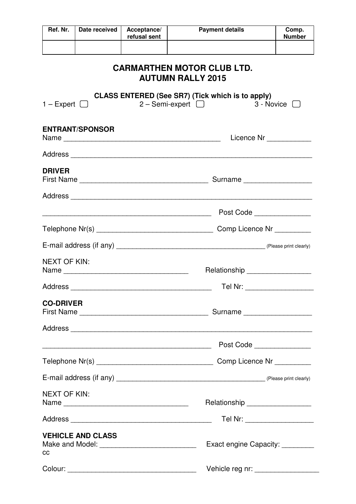| Ref. Nr.                                                      | Date received                                        | Acceptance/<br>refusal sent | <b>Payment details</b>                                                              | Comp.<br><b>Number</b>           |  |  |
|---------------------------------------------------------------|------------------------------------------------------|-----------------------------|-------------------------------------------------------------------------------------|----------------------------------|--|--|
|                                                               |                                                      |                             |                                                                                     |                                  |  |  |
| <b>CARMARTHEN MOTOR CLUB LTD.</b><br><b>AUTUMN RALLY 2015</b> |                                                      |                             |                                                                                     |                                  |  |  |
| $1 -$ Expert $\Box$                                           |                                                      |                             | <b>CLASS ENTERED (See SR7) (Tick which is to apply)</b><br>$2 -$ Semi-expert $\Box$ | 3 - Novice U                     |  |  |
| <b>ENTRANT/SPONSOR</b>                                        |                                                      |                             |                                                                                     | Licence Nr ____________          |  |  |
|                                                               |                                                      |                             |                                                                                     |                                  |  |  |
| <b>DRIVER</b>                                                 |                                                      |                             |                                                                                     |                                  |  |  |
|                                                               |                                                      |                             |                                                                                     |                                  |  |  |
|                                                               | <u> 1989 - Jan Barnett, fransk politik (d. 1989)</u> |                             |                                                                                     | Post Code                        |  |  |
|                                                               |                                                      |                             |                                                                                     |                                  |  |  |
|                                                               |                                                      |                             |                                                                                     |                                  |  |  |
| <b>NEXT OF KIN:</b>                                           |                                                      |                             |                                                                                     | Relationship ___________________ |  |  |
|                                                               |                                                      |                             |                                                                                     | Tel Nr: _____________________    |  |  |
| <b>CO-DRIVER</b>                                              |                                                      |                             |                                                                                     |                                  |  |  |
|                                                               |                                                      |                             |                                                                                     |                                  |  |  |
|                                                               |                                                      |                             | Post Code                                                                           |                                  |  |  |
|                                                               |                                                      |                             |                                                                                     |                                  |  |  |
|                                                               |                                                      |                             |                                                                                     |                                  |  |  |
| <b>NEXT OF KIN:</b>                                           | Name                                                 |                             | Relationship __________________                                                     |                                  |  |  |
|                                                               |                                                      |                             | Tel Nr: ___________________                                                         |                                  |  |  |
| CC                                                            | <b>VEHICLE AND CLASS</b>                             |                             | Exact engine Capacity: _________                                                    |                                  |  |  |
|                                                               |                                                      |                             | Vehicle reg nr: ___________________                                                 |                                  |  |  |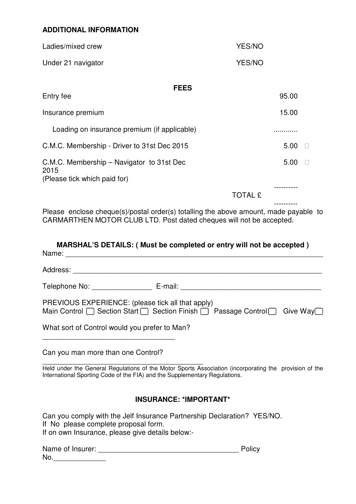## **ADDITIONAL INFORMATION**

| Ladies/mixed crew  | YES/NO |
|--------------------|--------|
| Under 21 navigator | YES/NO |

# **FEES**  Entry fee 95.00 Insurance premium 15.00 Loading on insurance premium (if applicable) ............ C.M.C. Membership - Driver to 31st Dec 2015 5.00 C.M.C. Membership – Navigator to 31st Dec 2015 (Please tick which paid for) 5.00 ----------

TOTAL £

---------- Please enclose cheque(s)/postal order(s) totalling the above amount, made payable to CARMARTHEN MOTOR CLUB LTD. Post dated cheques will not be accepted.

|       | MARSHAL'S DETAILS: ( Must be completed or entry will not be accepted ) |
|-------|------------------------------------------------------------------------|
| Name: |                                                                        |
|       |                                                                        |

Address: \_\_\_\_\_\_\_\_\_\_\_\_\_\_\_\_\_\_\_\_\_\_\_\_\_\_\_\_\_\_\_\_\_\_\_\_\_\_\_\_\_\_\_\_\_\_\_\_\_\_\_\_\_\_\_\_\_\_\_\_\_\_

Telephone No: \_\_\_\_\_\_\_\_\_\_\_\_\_\_\_ E-mail: \_\_\_\_\_\_\_\_\_\_\_\_\_\_\_\_\_\_\_\_\_\_\_\_\_\_\_\_\_\_\_\_\_\_\_

| PREVIOUS EXPERIENCE: (please tick all that apply)                                                     |  |
|-------------------------------------------------------------------------------------------------------|--|
| Main Control $\Box$ Section Start $\Box$ Section Finish $\Box$ Passage Control $\Box$ Give Way $\Box$ |  |

What sort of Control would you prefer to Man?

\_\_\_\_\_\_\_\_\_\_\_\_\_\_\_\_\_\_\_\_\_\_\_\_\_\_\_\_\_\_\_\_\_

Can you man more than one Control?

\_\_\_\_\_\_\_\_\_\_\_\_\_\_\_\_\_\_\_\_\_\_\_\_\_\_\_\_\_\_\_\_\_\_\_\_\_\_\_\_ Held under the General Regulations of the Motor Sports Association (incorporating the provision of the International Sporting Code of the FIA) and the Supplementary Regulations.

# **INSURANCE: \*IMPORTANT\***

Can you comply with the Jelf Insurance Partnership Declaration? YES/NO. If No please complete proposal form. If on own Insurance, please give details below:-

| Name of Insurer: | Policy |
|------------------|--------|
| No.              |        |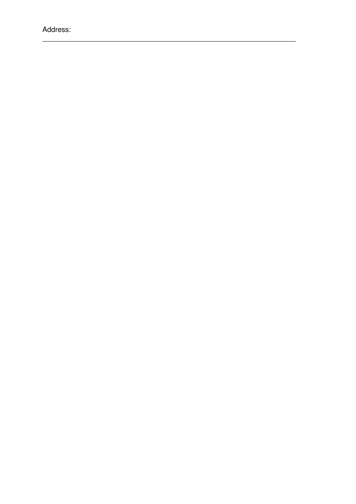Address: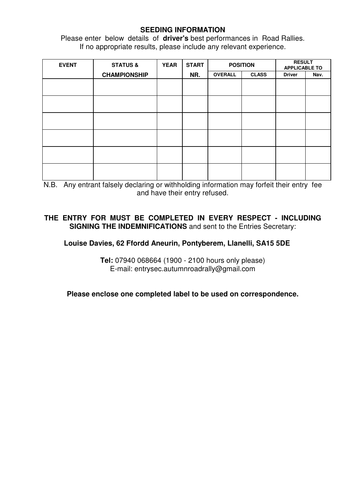### **SEEDING INFORMATION**

Please enter below details of **driver's** best performances in Road Rallies. If no appropriate results, please include any relevant experience.

| <b>EVENT</b> | <b>STATUS &amp;</b> | <b>YEAR</b> | <b>START</b> | <b>RESULT</b><br><b>POSITION</b><br><b>APPLICABLE TO</b> |              |               |      |
|--------------|---------------------|-------------|--------------|----------------------------------------------------------|--------------|---------------|------|
|              | <b>CHAMPIONSHIP</b> |             | NR.          | <b>OVERALL</b>                                           | <b>CLASS</b> | <b>Driver</b> | Nav. |
|              |                     |             |              |                                                          |              |               |      |
|              |                     |             |              |                                                          |              |               |      |
|              |                     |             |              |                                                          |              |               |      |
|              |                     |             |              |                                                          |              |               |      |
|              |                     |             |              |                                                          |              |               |      |
|              |                     |             |              |                                                          |              |               |      |
|              |                     |             |              |                                                          |              |               |      |
|              |                     |             |              |                                                          |              |               |      |
|              |                     |             |              |                                                          |              |               |      |
|              |                     |             |              |                                                          |              |               |      |
|              |                     |             |              |                                                          |              |               |      |
|              |                     |             |              |                                                          |              |               |      |

N.B. Any entrant falsely declaring or withholding information may forfeit their entry fee and have their entry refused.

# **THE ENTRY FOR MUST BE COMPLETED IN EVERY RESPECT - INCLUDING SIGNING THE INDEMNIFICATIONS** and sent to the Entries Secretary:

### **Louise Davies, 62 Ffordd Aneurin, Pontyberem, Llanelli, SA15 5DE**

**Tel:** 07940 068664 (1900 - 2100 hours only please) E-mail: entrysec.autumnroadrally@gmail.com

**Please enclose one completed label to be used on correspondence.**